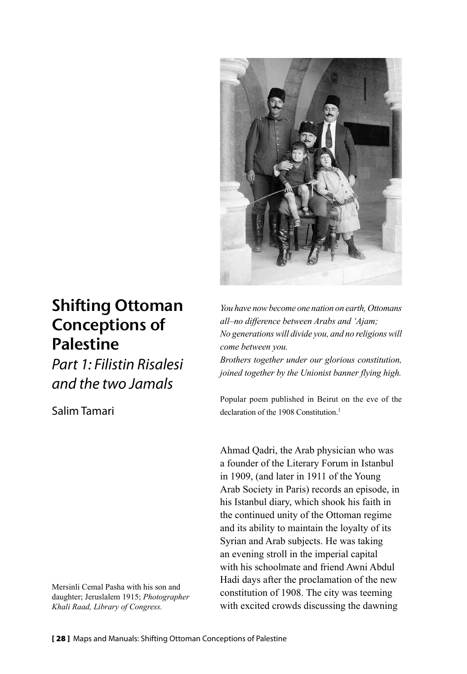

# Shifting Ottoman Conceptions of **Palestine**

*Part 1: Filistin Risalesi and the two Jamals*

Salim Tamari

Mersinli Cemal Pasha with his son and daughter; Jeruslalem 1915; *Photographer Khali Raad, Library of Congress.*

*You have now become one nation on earth, Ottomans all–no difference between Arabs and 'Ajam; No generations will divide you, and no religions will come between you.*

*Brothers together under our glorious constitution, joined together by the Unionist banner flying high.*

Popular poem published in Beirut on the eve of the declaration of the 1908 Constitution<sup>1</sup>

Ahmad Qadri, the Arab physician who was a founder of the Literary Forum in Istanbul in 1909, (and later in 1911 of the Young Arab Society in Paris) records an episode, in his Istanbul diary, which shook his faith in the continued unity of the Ottoman regime and its ability to maintain the loyalty of its Syrian and Arab subjects. He was taking an evening stroll in the imperial capital with his schoolmate and friend Awni Abdul Hadi days after the proclamation of the new constitution of 1908. The city was teeming with excited crowds discussing the dawning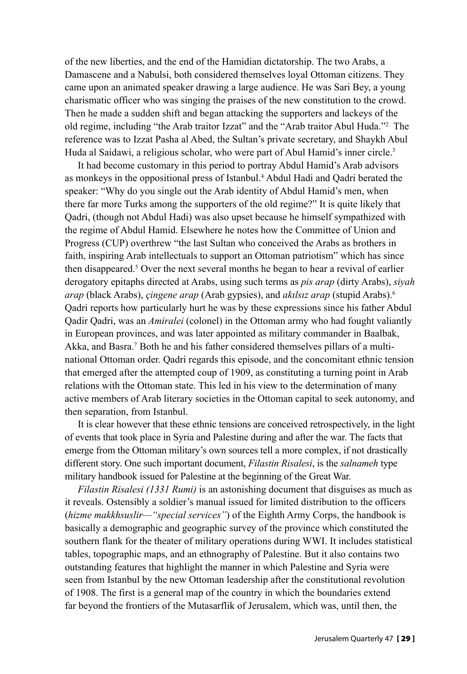of the new liberties, and the end of the Hamidian dictatorship. The two Arabs, a Damascene and a Nabulsi, both considered themselves loyal Ottoman citizens. They came upon an animated speaker drawing a large audience. He was Sari Bey, a young charismatic officer who was singing the praises of the new constitution to the crowd. Then he made a sudden shift and began attacking the supporters and lackeys of the old regime, including "the Arab traitor Izzat" and the "Arab traitor Abul Huda."2 The reference was to Izzat Pasha al Abed, the Sultan's private secretary, and Shaykh Abul Huda al Saidawi, a religious scholar, who were part of Abul Hamid's inner circle.<sup>3</sup>

It had become customary in this period to portray Abdul Hamid's Arab advisors as monkeys in the oppositional press of Istanbul.4 Abdul Hadi and Qadri berated the speaker: "Why do you single out the Arab identity of Abdul Hamid's men, when there far more Turks among the supporters of the old regime?" It is quite likely that Qadri, (though not Abdul Hadi) was also upset because he himself sympathized with the regime of Abdul Hamid. Elsewhere he notes how the Committee of Union and Progress (CUP) overthrew "the last Sultan who conceived the Arabs as brothers in faith, inspiring Arab intellectuals to support an Ottoman patriotism" which has since then disappeared.5 Over the next several months he began to hear a revival of earlier derogatory epitaphs directed at Arabs, using such terms as *pis arap* (dirty Arabs), *siyah arap* (black Arabs), *çingene arap* (Arab gypsies), and *akılsız arap* (stupid Arabs).6 Qadri reports how particularly hurt he was by these expressions since his father Abdul Qadir Qadri, was an *Amiralei* (colonel) in the Ottoman army who had fought valiantly in European provinces, and was later appointed as military commander in Baalbak, Akka, and Basra.<sup>7</sup> Both he and his father considered themselves pillars of a multinational Ottoman order. Qadri regards this episode, and the concomitant ethnic tension that emerged after the attempted coup of 1909, as constituting a turning point in Arab relations with the Ottoman state. This led in his view to the determination of many active members of Arab literary societies in the Ottoman capital to seek autonomy, and then separation, from Istanbul.

It is clear however that these ethnic tensions are conceived retrospectively, in the light of events that took place in Syria and Palestine during and after the war. The facts that emerge from the Ottoman military's own sources tell a more complex, if not drastically different story. One such important document, *Filastin Risalesi*, is the *salnameh* type military handbook issued for Palestine at the beginning of the Great War.

*Filastin Risalesi (1331 Rumi)* is an astonishing document that disguises as much as it reveals. Ostensibly a soldier's manual issued for limited distribution to the officers (*hizme makkhsuslir—"special services"*) of the Eighth Army Corps, the handbook is basically a demographic and geographic survey of the province which constituted the southern flank for the theater of military operations during WWI. It includes statistical tables, topographic maps, and an ethnography of Palestine. But it also contains two outstanding features that highlight the manner in which Palestine and Syria were seen from Istanbul by the new Ottoman leadership after the constitutional revolution of 1908. The first is a general map of the country in which the boundaries extend far beyond the frontiers of the Mutasarflik of Jerusalem, which was, until then, the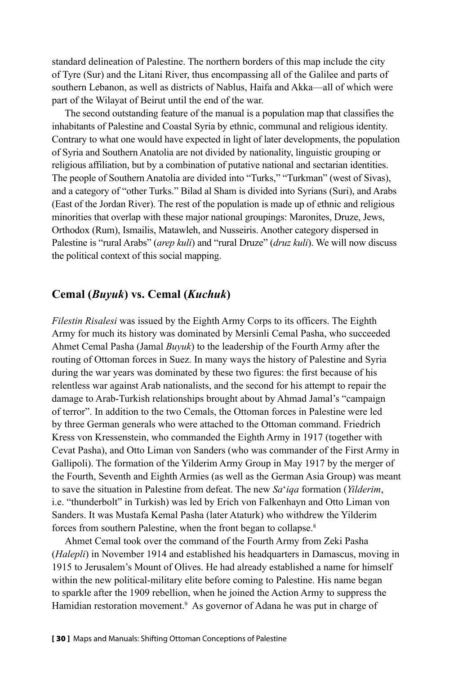standard delineation of Palestine. The northern borders of this map include the city of Tyre (Sur) and the Litani River, thus encompassing all of the Galilee and parts of southern Lebanon, as well as districts of Nablus, Haifa and Akka—all of which were part of the Wilayat of Beirut until the end of the war.

The second outstanding feature of the manual is a population map that classifies the inhabitants of Palestine and Coastal Syria by ethnic, communal and religious identity. Contrary to what one would have expected in light of later developments, the population of Syria and Southern Anatolia are not divided by nationality, linguistic grouping or religious affiliation, but by a combination of putative national and sectarian identities. The people of Southern Anatolia are divided into "Turks," "Turkman" (west of Sivas), and a category of "other Turks." Bilad al Sham is divided into Syrians (Suri), and Arabs (East of the Jordan River). The rest of the population is made up of ethnic and religious minorities that overlap with these major national groupings: Maronites, Druze, Jews, Orthodox (Rum), Ismailis, Matawleh, and Nusseiris. Another category dispersed in Palestine is "rural Arabs" (*arep kuli*) and "rural Druze" (*druz kuli*). We will now discuss the political context of this social mapping.

## **Cemal (***Buyuk***) vs. Cemal (***Kuchuk***)**

*Filestin Risalesi* was issued by the Eighth Army Corps to its officers. The Eighth Army for much its history was dominated by Mersinli Cemal Pasha, who succeeded Ahmet Cemal Pasha (Jamal *Buyuk*) to the leadership of the Fourth Army after the routing of Ottoman forces in Suez. In many ways the history of Palestine and Syria during the war years was dominated by these two figures: the first because of his relentless war against Arab nationalists, and the second for his attempt to repair the damage to Arab-Turkish relationships brought about by Ahmad Jamal's "campaign of terror". In addition to the two Cemals, the Ottoman forces in Palestine were led by three German generals who were attached to the Ottoman command. Friedrich Kress von Kressenstein, who commanded the Eighth Army in 1917 (together with Cevat Pasha), and Otto Liman von Sanders (who was commander of the First Army in Gallipoli). The formation of the Yilderim Army Group in May 1917 by the merger of the Fourth, Seventh and Eighth Armies (as well as the German Asia Group) was meant to save the situation in Palestine from defeat. The new *Sa*'*iqa* formation (*Yilderim*, i.e. "thunderbolt" in Turkish) was led by Erich von Falkenhayn and Otto Liman von Sanders. It was Mustafa Kemal Pasha (later Ataturk) who withdrew the Yilderim forces from southern Palestine, when the front began to collapse.8

Ahmet Cemal took over the command of the Fourth Army from Zeki Pasha (*Halepli*) in November 1914 and established his headquarters in Damascus, moving in 1915 to Jerusalem's Mount of Olives. He had already established a name for himself within the new political-military elite before coming to Palestine. His name began to sparkle after the 1909 rebellion, when he joined the Action Army to suppress the Hamidian restoration movement.<sup>9</sup> As governor of Adana he was put in charge of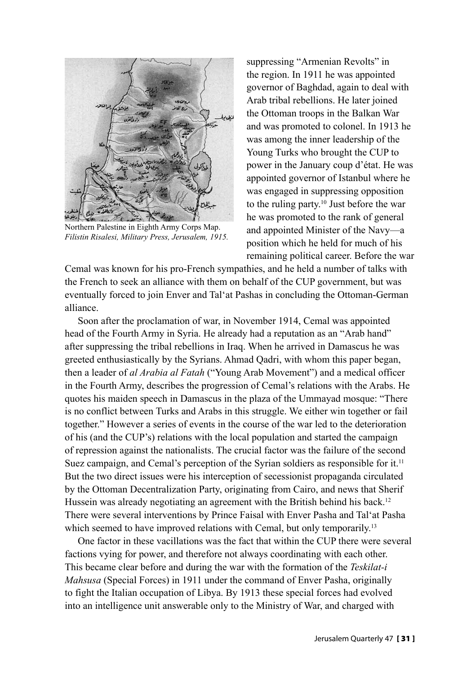

Northern Palestine in Eighth Army Corps Map. *Filistin Risalesi, Military Press, Jerusalem, 1915.*

suppressing "Armenian Revolts" in the region. In 1911 he was appointed governor of Baghdad, again to deal with Arab tribal rebellions. He later joined the Ottoman troops in the Balkan War and was promoted to colonel. In 1913 he was among the inner leadership of the Young Turks who brought the CUP to power in the January coup d'état. He was appointed governor of Istanbul where he was engaged in suppressing opposition to the ruling party.<sup>10</sup> Just before the war he was promoted to the rank of general and appointed Minister of the Navy—a position which he held for much of his remaining political career. Before the war

Cemal was known for his pro-French sympathies, and he held a number of talks with the French to seek an alliance with them on behalf of the CUP government, but was eventually forced to join Enver and Tal'at Pashas in concluding the Ottoman-German alliance.

Soon after the proclamation of war, in November 1914, Cemal was appointed head of the Fourth Army in Syria. He already had a reputation as an "Arab hand" after suppressing the tribal rebellions in Iraq. When he arrived in Damascus he was greeted enthusiastically by the Syrians. Ahmad Qadri, with whom this paper began, then a leader of *al Arabia al Fatah* ("Young Arab Movement") and a medical officer in the Fourth Army, describes the progression of Cemal's relations with the Arabs. He quotes his maiden speech in Damascus in the plaza of the Ummayad mosque: "There is no conflict between Turks and Arabs in this struggle. We either win together or fail together." However a series of events in the course of the war led to the deterioration of his (and the CUP's) relations with the local population and started the campaign of repression against the nationalists. The crucial factor was the failure of the second Suez campaign, and Cemal's perception of the Syrian soldiers as responsible for it.<sup>11</sup> But the two direct issues were his interception of secessionist propaganda circulated by the Ottoman Decentralization Party, originating from Cairo, and news that Sherif Hussein was already negotiating an agreement with the British behind his back.<sup>12</sup> There were several interventions by Prince Faisal with Enver Pasha and Tal'at Pasha which seemed to have improved relations with Cemal, but only temporarily.<sup>13</sup>

One factor in these vacillations was the fact that within the CUP there were several factions vying for power, and therefore not always coordinating with each other. This became clear before and during the war with the formation of the *Teskilat-i Mahsusa* (Special Forces) in 1911 under the command of Enver Pasha, originally to fight the Italian occupation of Libya. By 1913 these special forces had evolved into an intelligence unit answerable only to the Ministry of War, and charged with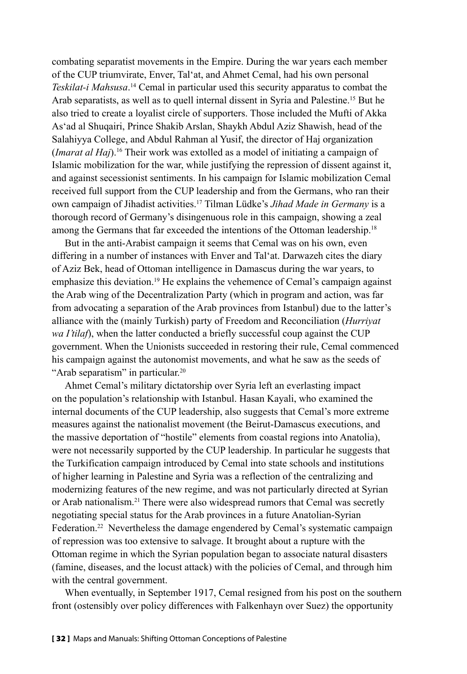combating separatist movements in the Empire. During the war years each member of the CUP triumvirate, Enver, Tal'at, and Ahmet Cemal, had his own personal *Teskilat-i Mahsusa*. 14 Cemal in particular used this security apparatus to combat the Arab separatists, as well as to quell internal dissent in Syria and Palestine.15 But he also tried to create a loyalist circle of supporters. Those included the Mufti of Akka As'ad al Shuqairi, Prince Shakib Arslan, Shaykh Abdul Aziz Shawish, head of the Salahiyya College, and Abdul Rahman al Yusif, the director of Haj organization (*Imarat al Haj*).16 Their work was extolled as a model of initiating a campaign of Islamic mobilization for the war, while justifying the repression of dissent against it, and against secessionist sentiments. In his campaign for Islamic mobilization Cemal received full support from the CUP leadership and from the Germans, who ran their own campaign of Jihadist activities.17 Tilman Lüdke's *Jihad Made in Germany* is a thorough record of Germany's disingenuous role in this campaign, showing a zeal among the Germans that far exceeded the intentions of the Ottoman leadership.<sup>18</sup>

But in the anti-Arabist campaign it seems that Cemal was on his own, even differing in a number of instances with Enver and Tal'at. Darwazeh cites the diary of Aziz Bek, head of Ottoman intelligence in Damascus during the war years, to emphasize this deviation.<sup>19</sup> He explains the vehemence of Cemal's campaign against the Arab wing of the Decentralization Party (which in program and action, was far from advocating a separation of the Arab provinces from Istanbul) due to the latter's alliance with the (mainly Turkish) party of Freedom and Reconciliation (*Hurriyat wa I'tilaf*), when the latter conducted a briefly successful coup against the CUP government. When the Unionists succeeded in restoring their rule, Cemal commenced his campaign against the autonomist movements, and what he saw as the seeds of "Arab separatism" in particular.<sup>20</sup>

Ahmet Cemal's military dictatorship over Syria left an everlasting impact on the population's relationship with Istanbul. Hasan Kayali, who examined the internal documents of the CUP leadership, also suggests that Cemal's more extreme measures against the nationalist movement (the Beirut-Damascus executions, and the massive deportation of "hostile" elements from coastal regions into Anatolia), were not necessarily supported by the CUP leadership. In particular he suggests that the Turkification campaign introduced by Cemal into state schools and institutions of higher learning in Palestine and Syria was a reflection of the centralizing and modernizing features of the new regime, and was not particularly directed at Syrian or Arab nationalism.21 There were also widespread rumors that Cemal was secretly negotiating special status for the Arab provinces in a future Anatolian-Syrian Federation.<sup>22</sup> Nevertheless the damage engendered by Cemal's systematic campaign of repression was too extensive to salvage. It brought about a rupture with the Ottoman regime in which the Syrian population began to associate natural disasters (famine, diseases, and the locust attack) with the policies of Cemal, and through him with the central government.

When eventually, in September 1917, Cemal resigned from his post on the southern front (ostensibly over policy differences with Falkenhayn over Suez) the opportunity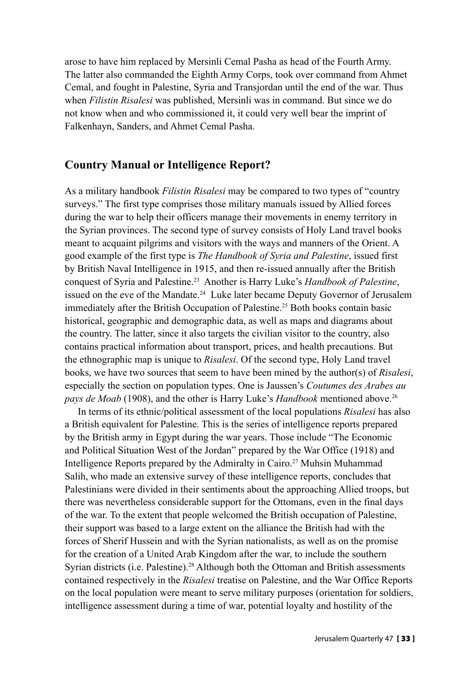arose to have him replaced by Mersinli Cemal Pasha as head of the Fourth Army. The latter also commanded the Eighth Army Corps, took over command from Ahmet Cemal, and fought in Palestine, Syria and Transjordan until the end of the war. Thus when *Filistin Risalesi* was published, Mersinli was in command. But since we do not know when and who commissioned it, it could very well bear the imprint of Falkenhayn, Sanders, and Ahmet Cemal Pasha.

### **Country Manual or Intelligence Report?**

As a military handbook *Filistin Risalesi* may be compared to two types of "country surveys." The first type comprises those military manuals issued by Allied forces during the war to help their officers manage their movements in enemy territory in the Syrian provinces. The second type of survey consists of Holy Land travel books meant to acquaint pilgrims and visitors with the ways and manners of the Orient. A good example of the first type is *The Handbook of Syria and Palestine*, issued first by British Naval Intelligence in 1915, and then re-issued annually after the British conquest of Syria and Palestine.23 Another is Harry Luke's *Handbook of Palestine*, issued on the eve of the Mandate.24 Luke later became Deputy Governor of Jerusalem immediately after the British Occupation of Palestine.<sup>25</sup> Both books contain basic historical, geographic and demographic data, as well as maps and diagrams about the country. The latter, since it also targets the civilian visitor to the country, also contains practical information about transport, prices, and health precautions. But the ethnographic map is unique to *Risalesi*. Of the second type, Holy Land travel books, we have two sources that seem to have been mined by the author(s) of *Risalesi*, especially the section on population types. One is Jaussen's *Coutumes des Arabes au pays de Moab* (1908), and the other is Harry Luke's *Handbook* mentioned above.<sup>26</sup>

In terms of its ethnic/political assessment of the local populations *Risalesi* has also a British equivalent for Palestine. This is the series of intelligence reports prepared by the British army in Egypt during the war years. Those include "The Economic and Political Situation West of the Jordan" prepared by the War Office (1918) and Intelligence Reports prepared by the Admiralty in Cairo.<sup>27</sup> Muhsin Muhammad Salih, who made an extensive survey of these intelligence reports, concludes that Palestinians were divided in their sentiments about the approaching Allied troops, but there was nevertheless considerable support for the Ottomans, even in the final days of the war. To the extent that people welcomed the British occupation of Palestine, their support was based to a large extent on the alliance the British had with the forces of Sherif Hussein and with the Syrian nationalists, as well as on the promise for the creation of a United Arab Kingdom after the war, to include the southern Syrian districts (i.e. Palestine).<sup>28</sup> Although both the Ottoman and British assessments contained respectively in the *Risalesi* treatise on Palestine, and the War Office Reports on the local population were meant to serve military purposes (orientation for soldiers, intelligence assessment during a time of war, potential loyalty and hostility of the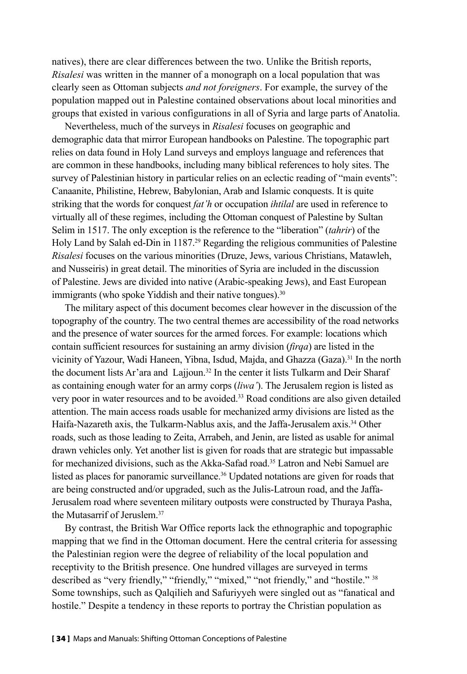natives), there are clear differences between the two. Unlike the British reports, *Risalesi* was written in the manner of a monograph on a local population that was clearly seen as Ottoman subjects *and not foreigners*. For example, the survey of the population mapped out in Palestine contained observations about local minorities and groups that existed in various configurations in all of Syria and large parts of Anatolia.

Nevertheless, much of the surveys in *Risalesi* focuses on geographic and demographic data that mirror European handbooks on Palestine. The topographic part relies on data found in Holy Land surveys and employs language and references that are common in these handbooks, including many biblical references to holy sites. The survey of Palestinian history in particular relies on an eclectic reading of "main events": Canaanite, Philistine, Hebrew, Babylonian, Arab and Islamic conquests. It is quite striking that the words for conquest *fat'h* or occupation *ihtilal* are used in reference to virtually all of these regimes, including the Ottoman conquest of Palestine by Sultan Selim in 1517. The only exception is the reference to the "liberation" (*tahrir*) of the Holy Land by Salah ed-Din in 1187.<sup>29</sup> Regarding the religious communities of Palestine *Risalesi* focuses on the various minorities (Druze, Jews, various Christians, Matawleh, and Nusseiris) in great detail. The minorities of Syria are included in the discussion of Palestine. Jews are divided into native (Arabic-speaking Jews), and East European immigrants (who spoke Yiddish and their native tongues).<sup>30</sup>

The military aspect of this document becomes clear however in the discussion of the topography of the country. The two central themes are accessibility of the road networks and the presence of water sources for the armed forces. For example: locations which contain sufficient resources for sustaining an army division (*firqa*) are listed in the vicinity of Yazour, Wadi Haneen, Yibna, Isdud, Majda, and Ghazza (Gaza).31 In the north the document lists Ar'ara and Lajjoun.<sup>32</sup> In the center it lists Tulkarm and Deir Sharaf as containing enough water for an army corps (*liwa'*). The Jerusalem region is listed as very poor in water resources and to be avoided.<sup>33</sup> Road conditions are also given detailed attention. The main access roads usable for mechanized army divisions are listed as the Haifa-Nazareth axis, the Tulkarm-Nablus axis, and the Jaffa-Jerusalem axis.<sup>34</sup> Other roads, such as those leading to Zeita, Arrabeh, and Jenin, are listed as usable for animal drawn vehicles only. Yet another list is given for roads that are strategic but impassable for mechanized divisions, such as the Akka-Safad road.<sup>35</sup> Latron and Nebi Samuel are listed as places for panoramic surveillance.<sup>36</sup> Updated notations are given for roads that are being constructed and/or upgraded, such as the Julis-Latroun road, and the Jaffa-Jerusalem road where seventeen military outposts were constructed by Thuraya Pasha, the Mutasarrif of Jeruslem.37

By contrast, the British War Office reports lack the ethnographic and topographic mapping that we find in the Ottoman document. Here the central criteria for assessing the Palestinian region were the degree of reliability of the local population and receptivity to the British presence. One hundred villages are surveyed in terms described as "very friendly," "friendly," "mixed," "not friendly," and "hostile." 38 Some townships, such as Qalqilieh and Safuriyyeh were singled out as "fanatical and hostile." Despite a tendency in these reports to portray the Christian population as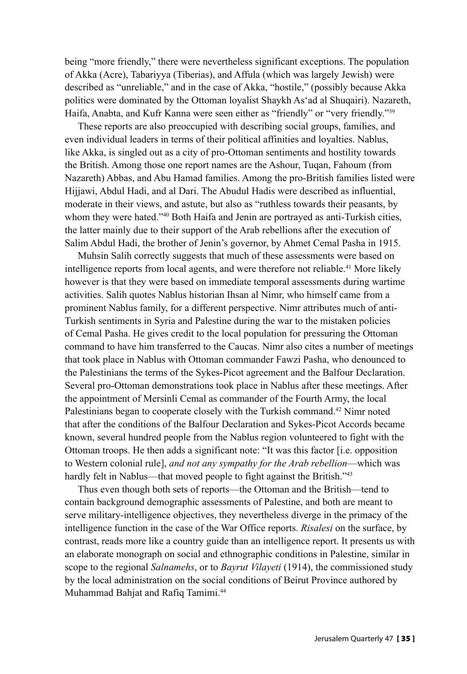being "more friendly," there were nevertheless significant exceptions. The population of Akka (Acre), Tabariyya (Tiberias), and Affula (which was largely Jewish) were described as "unreliable," and in the case of Akka, "hostile," (possibly because Akka politics were dominated by the Ottoman loyalist Shaykh As'ad al Shuqairi). Nazareth, Haifa, Anabta, and Kufr Kanna were seen either as "friendly" or "very friendly."<sup>39</sup>

These reports are also preoccupied with describing social groups, families, and even individual leaders in terms of their political affinities and loyalties. Nablus, like Akka, is singled out as a city of pro-Ottoman sentiments and hostility towards the British. Among those one report names are the Ashour, Tuqan, Fahoum (from Nazareth) Abbas, and Abu Hamad families. Among the pro-British families listed were Hijjawi, Abdul Hadi, and al Dari. The Abudul Hadis were described as influential, moderate in their views, and astute, but also as "ruthless towards their peasants, by whom they were hated."<sup>40</sup> Both Haifa and Jenin are portrayed as anti-Turkish cities, the latter mainly due to their support of the Arab rebellions after the execution of Salim Abdul Hadi, the brother of Jenin's governor, by Ahmet Cemal Pasha in 1915.

Muhsin Salih correctly suggests that much of these assessments were based on intelligence reports from local agents, and were therefore not reliable.<sup>41</sup> More likely however is that they were based on immediate temporal assessments during wartime activities. Salih quotes Nablus historian Ihsan al Nimr, who himself came from a prominent Nablus family, for a different perspective. Nimr attributes much of anti-Turkish sentiments in Syria and Palestine during the war to the mistaken policies of Cemal Pasha. He gives credit to the local population for pressuring the Ottoman command to have him transferred to the Caucas. Nimr also cites a number of meetings that took place in Nablus with Ottoman commander Fawzi Pasha, who denounced to the Palestinians the terms of the Sykes-Picot agreement and the Balfour Declaration. Several pro-Ottoman demonstrations took place in Nablus after these meetings. After the appointment of Mersinli Cemal as commander of the Fourth Army, the local Palestinians began to cooperate closely with the Turkish command.<sup>42</sup> Nimr noted that after the conditions of the Balfour Declaration and Sykes-Picot Accords became known, several hundred people from the Nablus region volunteered to fight with the Ottoman troops. He then adds a significant note: "It was this factor [i.e. opposition to Western colonial rule], *and not any sympathy for the Arab rebellion*—which was hardly felt in Nablus—that moved people to fight against the British."<sup>43</sup>

Thus even though both sets of reports—the Ottoman and the British—tend to contain background demographic assessments of Palestine, and both are meant to serve military-intelligence objectives, they nevertheless diverge in the primacy of the intelligence function in the case of the War Office reports. *Risalesi* on the surface, by contrast, reads more like a country guide than an intelligence report. It presents us with an elaborate monograph on social and ethnographic conditions in Palestine, similar in scope to the regional *Salnamehs*, or to *Bayrut Vilayeti* (1914), the commissioned study by the local administration on the social conditions of Beirut Province authored by Muhammad Bahjat and Rafiq Tamimi.44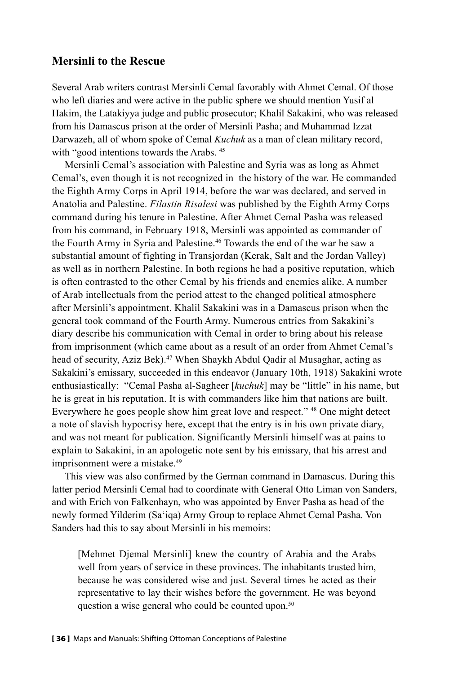#### **Mersinli to the Rescue**

Several Arab writers contrast Mersinli Cemal favorably with Ahmet Cemal. Of those who left diaries and were active in the public sphere we should mention Yusif al Hakim, the Latakiyya judge and public prosecutor; Khalil Sakakini, who was released from his Damascus prison at the order of Mersinli Pasha; and Muhammad Izzat Darwazeh, all of whom spoke of Cemal *Kuchuk* as a man of clean military record, with "good intentions towards the Arabs.<sup>45</sup>

Mersinli Cemal's association with Palestine and Syria was as long as Ahmet Cemal's, even though it is not recognized in the history of the war. He commanded the Eighth Army Corps in April 1914, before the war was declared, and served in Anatolia and Palestine. *Filastin Risalesi* was published by the Eighth Army Corps command during his tenure in Palestine. After Ahmet Cemal Pasha was released from his command, in February 1918, Mersinli was appointed as commander of the Fourth Army in Syria and Palestine.<sup>46</sup> Towards the end of the war he saw a substantial amount of fighting in Transjordan (Kerak, Salt and the Jordan Valley) as well as in northern Palestine. In both regions he had a positive reputation, which is often contrasted to the other Cemal by his friends and enemies alike. A number of Arab intellectuals from the period attest to the changed political atmosphere after Mersinli's appointment. Khalil Sakakini was in a Damascus prison when the general took command of the Fourth Army. Numerous entries from Sakakini's diary describe his communication with Cemal in order to bring about his release from imprisonment (which came about as a result of an order from Ahmet Cemal's head of security, Aziz Bek).<sup>47</sup> When Shaykh Abdul Qadir al Musaghar, acting as Sakakini's emissary, succeeded in this endeavor (January 10th, 1918) Sakakini wrote enthusiastically: "Cemal Pasha al-Sagheer [*kuchuk*] may be "little" in his name, but he is great in his reputation. It is with commanders like him that nations are built. Everywhere he goes people show him great love and respect." 48 One might detect a note of slavish hypocrisy here, except that the entry is in his own private diary, and was not meant for publication. Significantly Mersinli himself was at pains to explain to Sakakini, in an apologetic note sent by his emissary, that his arrest and imprisonment were a mistake.<sup>49</sup>

This view was also confirmed by the German command in Damascus. During this latter period Mersinli Cemal had to coordinate with General Otto Liman von Sanders, and with Erich von Falkenhayn, who was appointed by Enver Pasha as head of the newly formed Yilderim (Sa'iqa) Army Group to replace Ahmet Cemal Pasha. Von Sanders had this to say about Mersinli in his memoirs:

[Mehmet Djemal Mersinli] knew the country of Arabia and the Arabs well from years of service in these provinces. The inhabitants trusted him, because he was considered wise and just. Several times he acted as their representative to lay their wishes before the government. He was beyond question a wise general who could be counted upon.<sup>50</sup>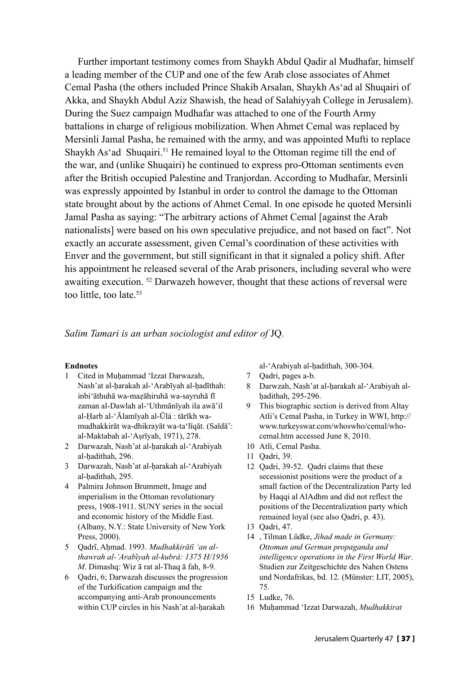Further important testimony comes from Shaykh Abdul Qadir al Mudhafar, himself a leading member of the CUP and one of the few Arab close associates of Ahmet Cemal Pasha (the others included Prince Shakib Arsalan, Shaykh As'ad al Shuqairi of Akka, and Shaykh Abdul Aziz Shawish, the head of Salahiyyah College in Jerusalem). During the Suez campaign Mudhafar was attached to one of the Fourth Army battalions in charge of religious mobilization. When Ahmet Cemal was replaced by Mersinli Jamal Pasha, he remained with the army, and was appointed Mufti to replace Shaykh As'ad Shuqairi.<sup>51</sup> He remained loyal to the Ottoman regime till the end of the war, and (unlike Shuqairi) he continued to express pro-Ottoman sentiments even after the British occupied Palestine and Tranjordan. According to Mudhafar, Mersinli was expressly appointed by Istanbul in order to control the damage to the Ottoman state brought about by the actions of Ahmet Cemal. In one episode he quoted Mersinli Jamal Pasha as saying: "The arbitrary actions of Ahmet Cemal [against the Arab nationalists] were based on his own speculative prejudice, and not based on fact". Not exactly an accurate assessment, given Cemal's coordination of these activities with Enver and the government, but still significant in that it signaled a policy shift. After his appointment he released several of the Arab prisoners, including several who were awaiting execution. 52 Darwazeh however, thought that these actions of reversal were too little, too late.<sup>53</sup>

#### *Salim Tamari is an urban sociologist and editor of* JQ*.*

#### **Endnotes**

- 1 Cited in Muḥammad ʻIzzat Darwazah, Nash'at al-ḥarakah al-ʻArabīyah al-ḥadīthah: inbiʻāthuhā wa-maẓāhiruhā wa-sayruhā fī zaman al-Dawlah al-ʻUthmānīyah ila awā'il al-Ḥarb al-ʻĀlamīyah al-Ūlá : tārīkh wamudhakkirāt wa-dhikrayāt wa-taʻlīqāt. (Saīdā': al-Maktabah al-ʻAṣrīyah, 1971), 278.
- 2 Darwazah, Nash'at al-ḥarakah al-ʻArabiyah al-ḥadithah, 296.
- 3 Darwazah, Nash'at al-ḥarakah al-ʻArabiyah al-ḥadithah, 295.
- 4 Palmira Johnson Brummett, Image and imperialism in the Ottoman revolutionary press, 1908-1911. SUNY series in the social and economic history of the Middle East. (Albany, N.Y.: State University of New York Press, 2000).
- 5 Oadrī, Ahmad. 1993. Mudhakkirātī 'an al*thawrah al-ʻArabī yah al-kubrá: 1375 H/1956 M*. Dimashq: Wiz ā rat al-Thaq ā fah, 8-9.
- 6 Qadri, 6; Darwazah discusses the progression of the Turkification campaign and the accompanying anti-Arab pronouncements within CUP circles in his Nash'at al-harakah

al-ʻArabiyah al-ḥadithah, 300-304.

- 7 Qadri, pages a-b.
- 8 Darwzah, Nash'at al-ḥarakah al-ʻArabiyah alḥadithah, 295-296.
- 9 This biographic section is derived from Altay Atli's Cemal Pasha, in Turkey in WWI, http:// www.turkeyswar.com/whoswho/cemal/whocemal.htm accessed June 8, 2010.
- 10 Atli, Cemal Pasha.
- 11 Qadri, 39.
- 12 Qadri, 39-52. Qadri claims that these secessionist positions were the product of a small faction of the Decentralization Party led by Haqqi al AlAdhm and did not reflect the positions of the Decentralization party which remained loyal (see also Qadri, p. 43).
- 13 Qadri, 47.
- 14 , Tilman Lüdke, *Jihad made in Germany: Ottoman and German propaganda and intelligence operations in the First World War*. Studien zur Zeitgeschichte des Nahen Ostens und Nordafrikas, bd. 12. (Münster: LIT, 2005), 75.
- 15 Ludke, 76.
- 16 Muḥammad ʻIzzat Darwazah, *Mudhakkirat*